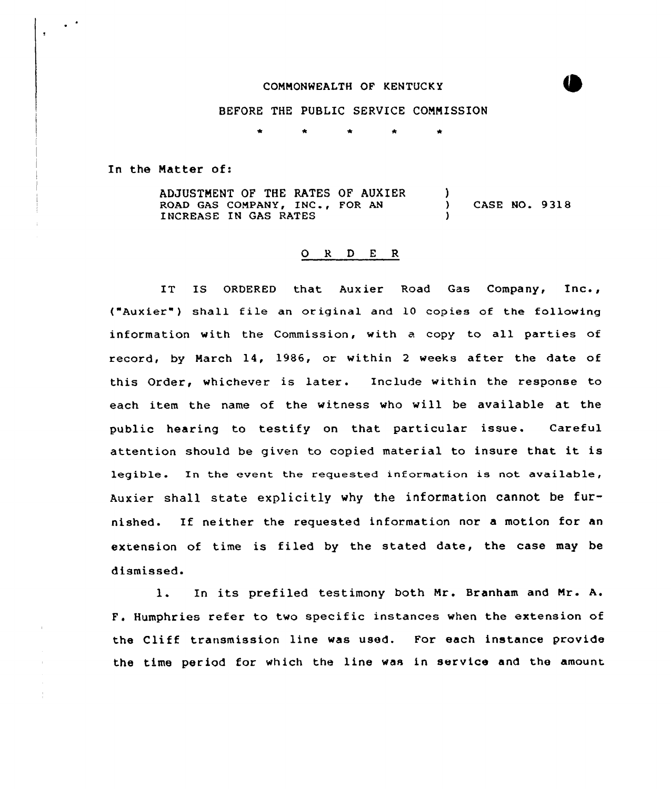## COMMONWEALTH OF KENTUCKY

## BEFORE THE PUBLIC SERVICE COMMISSION

In the Natter of:

 $\pmb{\cdot}$ 

÷

ADJUSTMENT OF THE RATES OF AUXIER ROAD GAS COMPANY, INC., FOR AN INCREASE IN GAS RATES ) ) CASE NO. 9318 )

## 0 <sup>R</sup> <sup>D</sup> <sup>E</sup> <sup>R</sup>

IT IS ORDERED that Auxier Road Gas Company, Inc., ("Auxier") shall file an original and 10 copies of the following information with the Commission, with a copy to all parties of record, by March 14, 1986, or within 2 weeks after the date of this Order, whichever is later. Include within the response to each item the name of the witness who will be available at the public hearing to testify on that particular issue. Careful attention should be given to copied material to insure that it is legible. In the event the requested information is not available, Auxier shall state explicitly why the information cannot be furnished. If neither the requested information nor a motion for an extension of time is filed by the stated date, the case may be dismissed.

1. In its prefiled testimony both Mr. Branham and Mr. A. F. Humphries refer to two specific instances when the extension of the Cliff transmission line was used. For each instance provide the time period for which the line was in service and the amount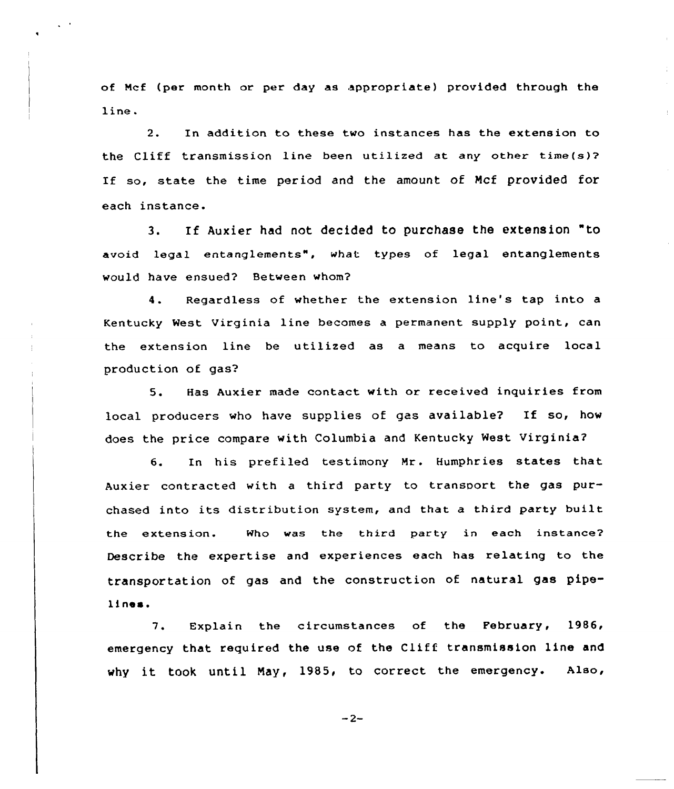of Mcf (per month or per day as appropriate) provided through the line.

2. In addition to these two instances has the extension to the Cliff transmission line been utilized at any other time(s)2 If so, state the time period and the amount of Mcf provided for each instance.

3. If Auxier had not decided to purchase the extension "to avoid legal entanglements", what types of legal entanglements would have ensued? Between whom?

4. Regardless of whether the extension line's tap into <sup>a</sup> Kentucky West Virginia line becomes a permanent supply point, can the extension line be utilized as a means to acquire local production of gas?

5. Has Auxier made contact with or received inquiries from local producers who have supplies of gas available2 If so, how does the price compare with Columbia and Kentucky West Virginia?

6. In his prefiled testimony Mr. Humphries states that Auxier contracted with a third party to transport the gas purchased into its distribution system, and that <sup>a</sup> third party built the extension. Who was the third party in each instance? Describe the expertise and experiences each has relating to the transportation of gas and the construction of natural gas pipelines.

7. Explain the circumstances of the February, 1986, emergency that required the use of the Cliff transmission line and why it took until May, 1985, to correct the emergency. Also,

 $-2-$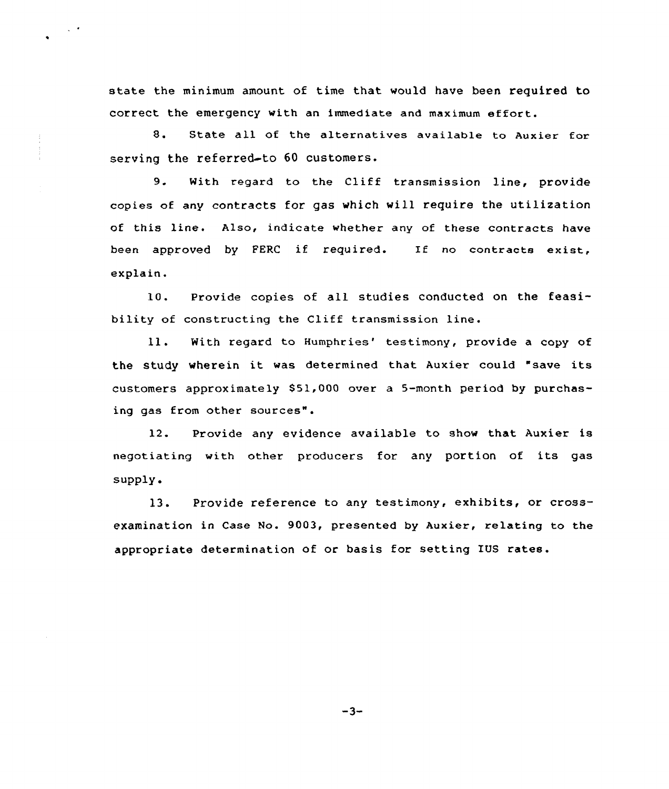state the minimum amount of time that would have been required to correct the emergency with an immediate and maximum effort.

 $\sim$   $\sim$ 

8. State all of the alternatives available to Auxier for serving the referred-to 60 customers.

9. With regard to the Cliff transmission line, provide copies of any contracts for gas which vill require the utilization of this line. Also, indicate whether any of these contracts have been approved by FERC if required. If no contracts exist, explain.

10. Provide copies of all studies conducted on the feasibility of constructing the Cliff transmission line.

ll. With regard to Humphries' testimony, provide a copy of the study wherein it was determined that Auxier could "save its customers approximately 851,000 over a 5-month period by purchasing gas from other sources".

12. Provide any evidence available to show that Auxier is negotiating with other producers for. any portion of its gas  $supply.$ 

13. Provide reference to any testimony, exhibits, or crossexamination in Case No. 9003, presented by Auxier, relating to the appropriate determination of or basis for setting IUS rates.

 $-3-$